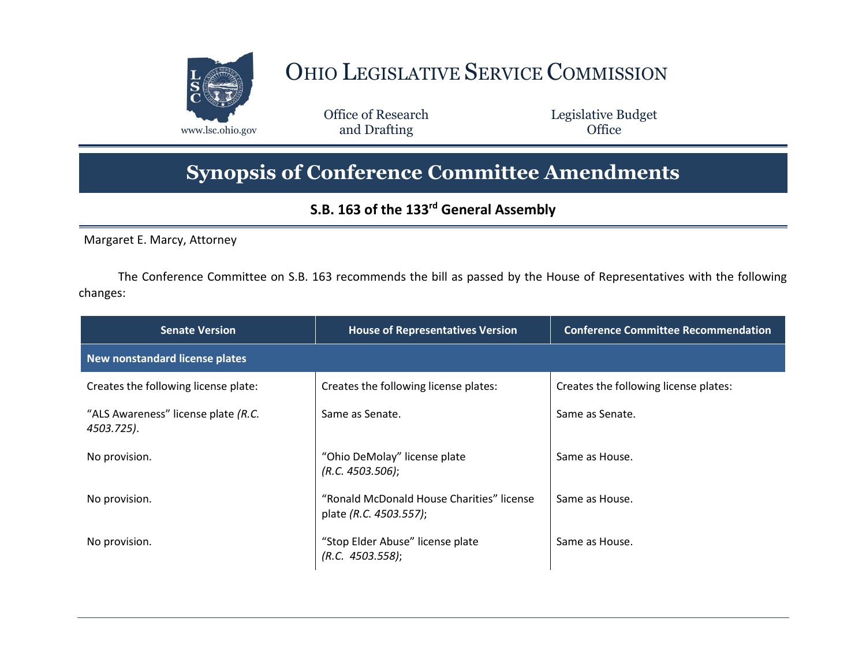

## OHIO LEGISLATIVE SERVICE COMMISSION

Office of Research www.lsc.ohio.gov **and Drafting Office** 

Legislative Budget

## **Synopsis of Conference Committee Amendments**

## **S.B. 163 of the 133rd General Assembly**

Margaret E. Marcy, Attorney

The Conference Committee on S.B. 163 recommends the bill as passed by the House of Representatives with the following changes:

| <b>Senate Version</b>                             | <b>House of Representatives Version</b>                             | <b>Conference Committee Recommendation</b> |
|---------------------------------------------------|---------------------------------------------------------------------|--------------------------------------------|
| New nonstandard license plates                    |                                                                     |                                            |
| Creates the following license plate:              | Creates the following license plates:                               | Creates the following license plates:      |
| "ALS Awareness" license plate (R.C.<br>4503.725). | Same as Senate.                                                     | Same as Senate.                            |
| No provision.                                     | "Ohio DeMolay" license plate<br>(R.C. 4503.506);                    | Same as House.                             |
| No provision.                                     | "Ronald McDonald House Charities" license<br>plate (R.C. 4503.557); | Same as House.                             |
| No provision.                                     | "Stop Elder Abuse" license plate<br>(R.C. 4503.558);                | Same as House.                             |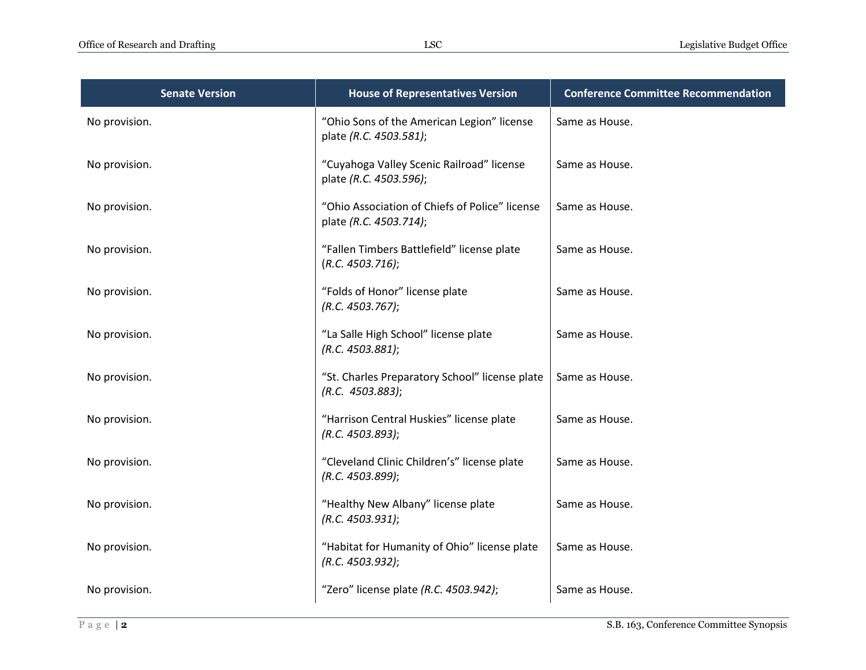| <b>Senate Version</b> | <b>House of Representatives Version</b>                                  | <b>Conference Committee Recommendation</b> |
|-----------------------|--------------------------------------------------------------------------|--------------------------------------------|
| No provision.         | "Ohio Sons of the American Legion" license<br>plate (R.C. 4503.581);     | Same as House.                             |
| No provision.         | "Cuyahoga Valley Scenic Railroad" license<br>plate (R.C. 4503.596);      | Same as House.                             |
| No provision.         | "Ohio Association of Chiefs of Police" license<br>plate (R.C. 4503.714); | Same as House.                             |
| No provision.         | "Fallen Timbers Battlefield" license plate<br>(R.C. 4503.716);           | Same as House.                             |
| No provision.         | "Folds of Honor" license plate<br>(R.C. 4503.767);                       | Same as House.                             |
| No provision.         | "La Salle High School" license plate<br>(R.C. 4503.881);                 | Same as House.                             |
| No provision.         | "St. Charles Preparatory School" license plate<br>(R.C. 4503.883);       | Same as House.                             |
| No provision.         | "Harrison Central Huskies" license plate<br>(R.C. 4503.893);             | Same as House.                             |
| No provision.         | "Cleveland Clinic Children's" license plate<br>(R.C. 4503.899);          | Same as House.                             |
| No provision.         | "Healthy New Albany" license plate<br>(R.C. 4503.931);                   | Same as House.                             |
| No provision.         | "Habitat for Humanity of Ohio" license plate<br>(R.C. 4503.932);         | Same as House.                             |
| No provision.         | "Zero" license plate (R.C. 4503.942);                                    | Same as House.                             |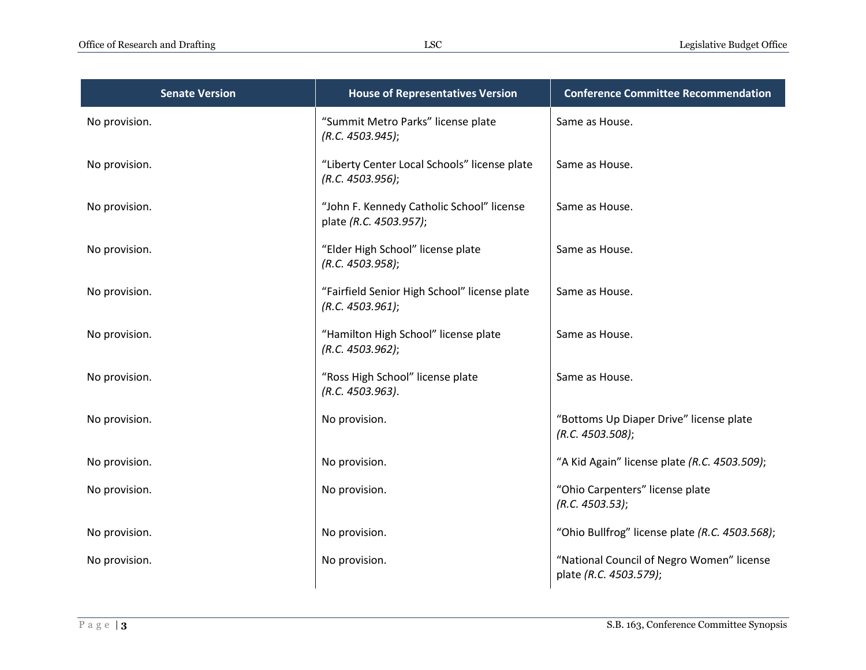| <b>Senate Version</b> | <b>House of Representatives Version</b>                             | <b>Conference Committee Recommendation</b>                          |
|-----------------------|---------------------------------------------------------------------|---------------------------------------------------------------------|
| No provision.         | "Summit Metro Parks" license plate<br>(R.C. 4503.945);              | Same as House.                                                      |
| No provision.         | "Liberty Center Local Schools" license plate<br>(R.C. 4503.956);    | Same as House.                                                      |
| No provision.         | "John F. Kennedy Catholic School" license<br>plate (R.C. 4503.957); | Same as House.                                                      |
| No provision.         | "Elder High School" license plate<br>(R.C. 4503.958);               | Same as House.                                                      |
| No provision.         | "Fairfield Senior High School" license plate<br>(R.C. 4503.961);    | Same as House.                                                      |
| No provision.         | "Hamilton High School" license plate<br>(R.C. 4503.962);            | Same as House.                                                      |
| No provision.         | "Ross High School" license plate<br>(R.C. 4503.963).                | Same as House.                                                      |
| No provision.         | No provision.                                                       | "Bottoms Up Diaper Drive" license plate<br>(R.C. 4503.508);         |
| No provision.         | No provision.                                                       | "A Kid Again" license plate (R.C. 4503.509);                        |
| No provision.         | No provision.                                                       | "Ohio Carpenters" license plate<br>(R.C. 4503.53);                  |
| No provision.         | No provision.                                                       | "Ohio Bullfrog" license plate (R.C. 4503.568);                      |
| No provision.         | No provision.                                                       | "National Council of Negro Women" license<br>plate (R.C. 4503.579); |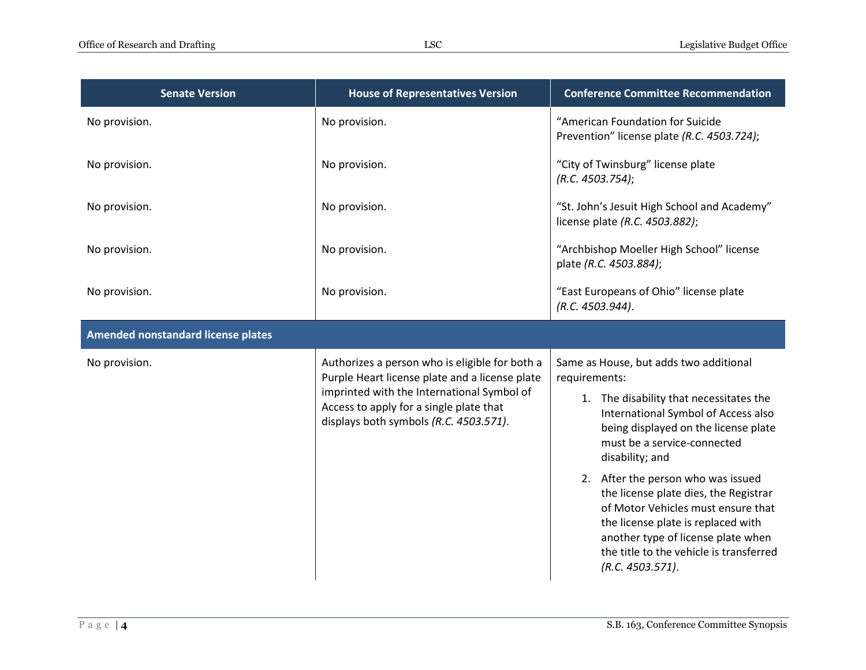| <b>Senate Version</b>              | <b>House of Representatives Version</b>                                                                                                                                                                                             | <b>Conference Committee Recommendation</b>                                                                                                                                                                                                                                                                                                                                                                                                                                                          |
|------------------------------------|-------------------------------------------------------------------------------------------------------------------------------------------------------------------------------------------------------------------------------------|-----------------------------------------------------------------------------------------------------------------------------------------------------------------------------------------------------------------------------------------------------------------------------------------------------------------------------------------------------------------------------------------------------------------------------------------------------------------------------------------------------|
| No provision.                      | No provision.                                                                                                                                                                                                                       | "American Foundation for Suicide<br>Prevention" license plate (R.C. 4503.724);                                                                                                                                                                                                                                                                                                                                                                                                                      |
| No provision.                      | No provision.                                                                                                                                                                                                                       | "City of Twinsburg" license plate<br>(R.C. 4503.754);                                                                                                                                                                                                                                                                                                                                                                                                                                               |
| No provision.                      | No provision.                                                                                                                                                                                                                       | "St. John's Jesuit High School and Academy"<br>license plate (R.C. 4503.882);                                                                                                                                                                                                                                                                                                                                                                                                                       |
| No provision.                      | No provision.                                                                                                                                                                                                                       | "Archbishop Moeller High School" license<br>plate (R.C. 4503.884);                                                                                                                                                                                                                                                                                                                                                                                                                                  |
| No provision.                      | No provision.                                                                                                                                                                                                                       | "East Europeans of Ohio" license plate<br>(R.C. 4503.944).                                                                                                                                                                                                                                                                                                                                                                                                                                          |
| Amended nonstandard license plates |                                                                                                                                                                                                                                     |                                                                                                                                                                                                                                                                                                                                                                                                                                                                                                     |
| No provision.                      | Authorizes a person who is eligible for both a<br>Purple Heart license plate and a license plate<br>imprinted with the International Symbol of<br>Access to apply for a single plate that<br>displays both symbols (R.C. 4503.571). | Same as House, but adds two additional<br>requirements:<br>1. The disability that necessitates the<br>International Symbol of Access also<br>being displayed on the license plate<br>must be a service-connected<br>disability; and<br>2. After the person who was issued<br>the license plate dies, the Registrar<br>of Motor Vehicles must ensure that<br>the license plate is replaced with<br>another type of license plate when<br>the title to the vehicle is transferred<br>(R.C. 4503.571). |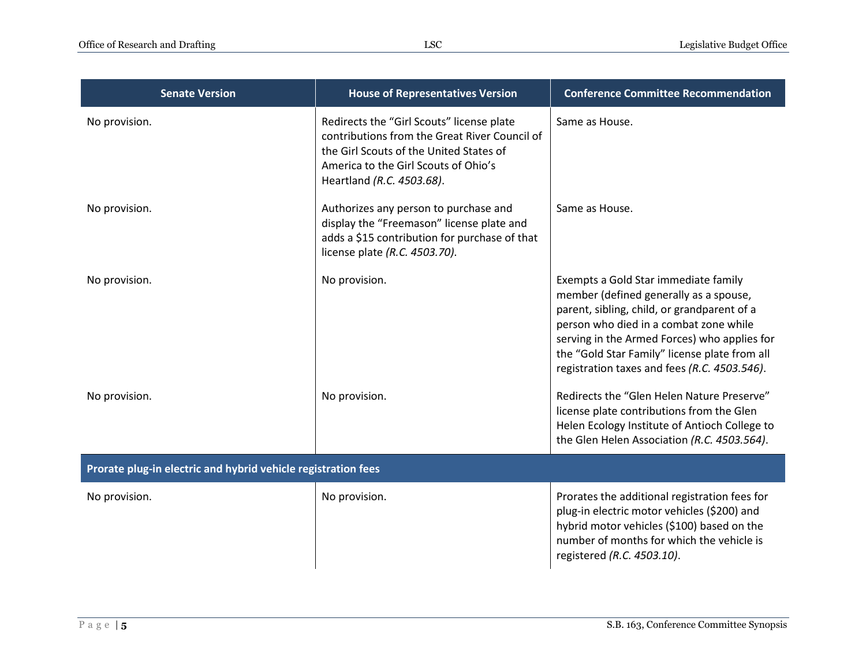| <b>Senate Version</b>                                         | <b>House of Representatives Version</b>                                                                                                                                                                    | <b>Conference Committee Recommendation</b>                                                                                                                                                                                                                                                                               |
|---------------------------------------------------------------|------------------------------------------------------------------------------------------------------------------------------------------------------------------------------------------------------------|--------------------------------------------------------------------------------------------------------------------------------------------------------------------------------------------------------------------------------------------------------------------------------------------------------------------------|
| No provision.                                                 | Redirects the "Girl Scouts" license plate<br>contributions from the Great River Council of<br>the Girl Scouts of the United States of<br>America to the Girl Scouts of Ohio's<br>Heartland (R.C. 4503.68). | Same as House.                                                                                                                                                                                                                                                                                                           |
| No provision.                                                 | Authorizes any person to purchase and<br>display the "Freemason" license plate and<br>adds a \$15 contribution for purchase of that<br>license plate (R.C. 4503.70).                                       | Same as House.                                                                                                                                                                                                                                                                                                           |
| No provision.                                                 | No provision.                                                                                                                                                                                              | Exempts a Gold Star immediate family<br>member (defined generally as a spouse,<br>parent, sibling, child, or grandparent of a<br>person who died in a combat zone while<br>serving in the Armed Forces) who applies for<br>the "Gold Star Family" license plate from all<br>registration taxes and fees (R.C. 4503.546). |
| No provision.                                                 | No provision.                                                                                                                                                                                              | Redirects the "Glen Helen Nature Preserve"<br>license plate contributions from the Glen<br>Helen Ecology Institute of Antioch College to<br>the Glen Helen Association (R.C. 4503.564).                                                                                                                                  |
| Prorate plug-in electric and hybrid vehicle registration fees |                                                                                                                                                                                                            |                                                                                                                                                                                                                                                                                                                          |
| No provision.                                                 | No provision.                                                                                                                                                                                              | Prorates the additional registration fees for<br>plug-in electric motor vehicles (\$200) and<br>hybrid motor vehicles (\$100) based on the<br>number of months for which the vehicle is<br>registered (R.C. 4503.10).                                                                                                    |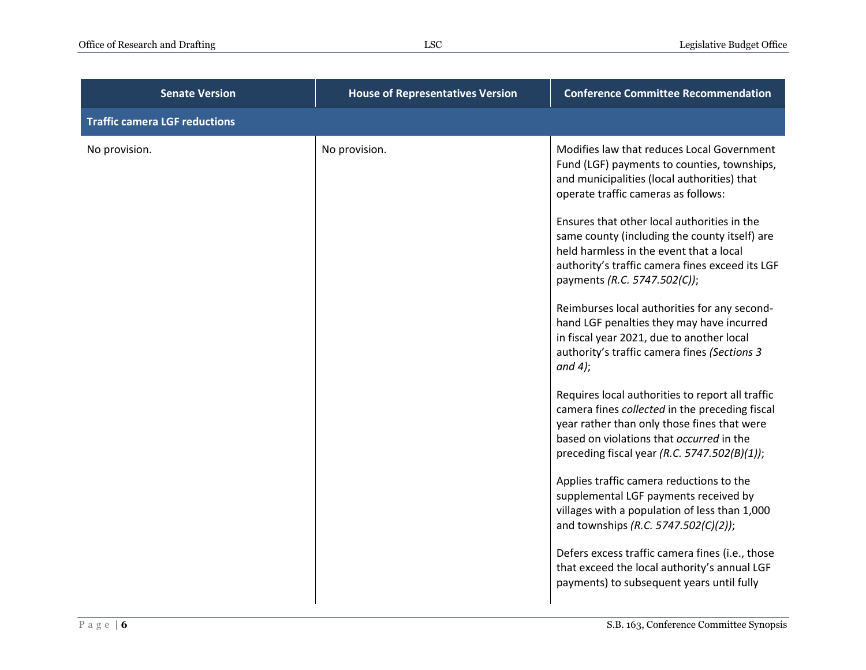| <b>Senate Version</b>                | <b>House of Representatives Version</b> | <b>Conference Committee Recommendation</b>                                                                                                                                                                                                    |
|--------------------------------------|-----------------------------------------|-----------------------------------------------------------------------------------------------------------------------------------------------------------------------------------------------------------------------------------------------|
| <b>Traffic camera LGF reductions</b> |                                         |                                                                                                                                                                                                                                               |
| No provision.                        | No provision.                           | Modifies law that reduces Local Government<br>Fund (LGF) payments to counties, townships,<br>and municipalities (local authorities) that<br>operate traffic cameras as follows:                                                               |
|                                      |                                         | Ensures that other local authorities in the<br>same county (including the county itself) are<br>held harmless in the event that a local<br>authority's traffic camera fines exceed its LGF<br>payments (R.C. 5747.502(C));                    |
|                                      |                                         | Reimburses local authorities for any second-<br>hand LGF penalties they may have incurred<br>in fiscal year 2021, due to another local<br>authority's traffic camera fines (Sections 3<br>and 4);                                             |
|                                      |                                         | Requires local authorities to report all traffic<br>camera fines collected in the preceding fiscal<br>year rather than only those fines that were<br>based on violations that occurred in the<br>preceding fiscal year (R.C. 5747.502(B)(1)); |
|                                      |                                         | Applies traffic camera reductions to the<br>supplemental LGF payments received by<br>villages with a population of less than 1,000<br>and townships (R.C. 5747.502(C)(2));                                                                    |
|                                      |                                         | Defers excess traffic camera fines (i.e., those<br>that exceed the local authority's annual LGF<br>payments) to subsequent years until fully                                                                                                  |